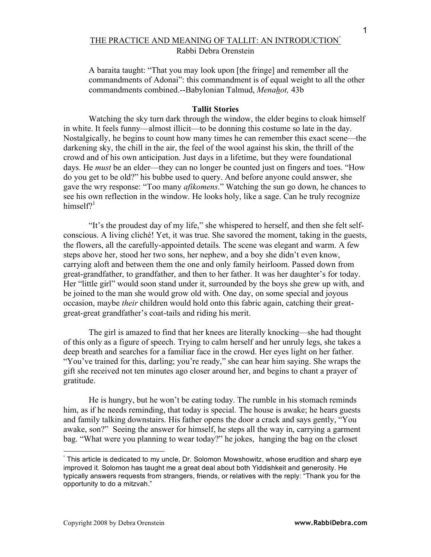# THE PRACTICE AND MEANING OF TALLIT: AN INTRODUCTION° Rabbi Debra Orenstein

A baraita taught: "That you may look upon [the fringe] and remember all the commandments of Adonai": this commandment is of equal weight to all the other commandments combined.--Babylonian Talmud, *Menahot,* 43b

# **Tallit Stories**

Watching the sky turn dark through the window, the elder begins to cloak himself in white. It feels funny—almost illicit—to be donning this costume so late in the day. Nostalgically, he begins to count how many times he can remember this exact scene—the darkening sky, the chill in the air, the feel of the wool against his skin, the thrill of the crowd and of his own anticipation. Just days in a lifetime, but they were foundational days. He *must* be an elder—they can no longer be counted just on fingers and toes. "How do you get to be old?" his bubbe used to query. And before anyone could answer, she gave the wry response: "Too many *afikomens*." Watching the sun go down, he chances to see his own reflection in the window. He looks holy, like a sage. Can he truly recognize himself?<sup>1</sup>

"It's the proudest day of my life," she whispered to herself, and then she felt selfconscious. A living cliché! Yet, it was true. She savored the moment, taking in the guests, the flowers, all the carefully-appointed details. The scene was elegant and warm. A few steps above her, stood her two sons, her nephew, and a boy she didn't even know, carrying aloft and between them the one and only family heirloom. Passed down from great-grandfather, to grandfather, and then to her father. It was her daughter's for today. Her "little girl" would soon stand under it, surrounded by the boys she grew up with, and be joined to the man she would grow old with. One day, on some special and joyous occasion, maybe *their* children would hold onto this fabric again, catching their greatgreat-great grandfather's coat-tails and riding his merit.

The girl is amazed to find that her knees are literally knocking—she had thought of this only as a figure of speech. Trying to calm herself and her unruly legs, she takes a deep breath and searches for a familiar face in the crowd. Her eyes light on her father. "You've trained for this, darling; you're ready," she can hear him saying. She wraps the gift she received not ten minutes ago closer around her, and begins to chant a prayer of gratitude.

He is hungry, but he won't be eating today. The rumble in his stomach reminds him, as if he needs reminding, that today is special. The house is awake; he hears guests and family talking downstairs. His father opens the door a crack and says gently, "You awake, son?" Seeing the answer for himself, he steps all the way in, carrying a garment bag. "What were you planning to wear today?" he jokes, hanging the bag on the closet

l

<sup>°</sup> This article is dedicated to my uncle, Dr. Solomon Mowshowitz, whose erudition and sharp eye improved it. Solomon has taught me a great deal about both Yiddishkeit and generosity. He typically answers requests from strangers, friends, or relatives with the reply: "Thank you for the opportunity to do a mitzvah."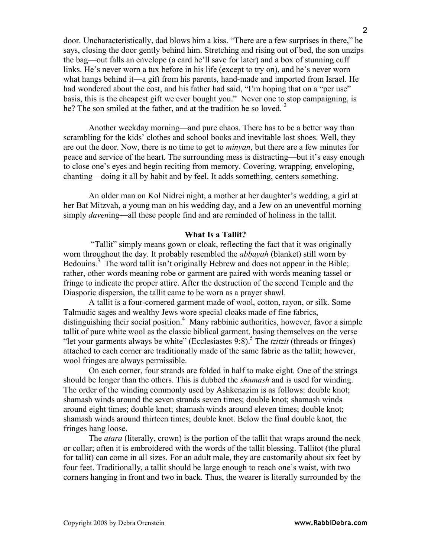door. Uncharacteristically, dad blows him a kiss. "There are a few surprises in there," he says, closing the door gently behind him. Stretching and rising out of bed, the son unzips the bag—out falls an envelope (a card he'll save for later) and a box of stunning cuff links. He's never worn a tux before in his life (except to try on), and he's never worn what hangs behind it—a gift from his parents, hand-made and imported from Israel. He had wondered about the cost, and his father had said, "I'm hoping that on a "per use" basis, this is the cheapest gift we ever bought you." Never one to stop campaigning, is he? The son smiled at the father, and at the tradition he so loved.  $2^{\circ}$ 

Another weekday morning—and pure chaos. There has to be a better way than scrambling for the kids' clothes and school books and inevitable lost shoes. Well, they are out the door. Now, there is no time to get to *minyan*, but there are a few minutes for peace and service of the heart. The surrounding mess is distracting—but it's easy enough to close one's eyes and begin reciting from memory. Covering, wrapping, enveloping, chanting—doing it all by habit and by feel. It adds something, centers something.

An older man on Kol Nidrei night, a mother at her daughter's wedding, a girl at her Bat Mitzvah, a young man on his wedding day, and a Jew on an uneventful morning simply *daven*ing—all these people find and are reminded of holiness in the tallit.

# **What Is a Tallit?**

"Tallit" simply means gown or cloak, reflecting the fact that it was originally worn throughout the day. It probably resembled the *abbayah* (blanket) still worn by Bedouins.<sup>3</sup> The word tallit isn't originally Hebrew and does not appear in the Bible; rather, other words meaning robe or garment are paired with words meaning tassel or fringe to indicate the proper attire. After the destruction of the second Temple and the Diasporic dispersion, the tallit came to be worn as a prayer shawl.

A tallit is a four-cornered garment made of wool, cotton, rayon, or silk. Some Talmudic sages and wealthy Jews wore special cloaks made of fine fabrics, distinguishing their social position.<sup>4</sup> Many rabbinic authorities, however, favor a simple tallit of pure white wool as the classic biblical garment, basing themselves on the verse "let your garments always be white" (Ecclesiastes 9:8). <sup>5</sup> The *tzitzit* (threads or fringes) attached to each corner are traditionally made of the same fabric as the tallit; however, wool fringes are always permissible.

On each corner, four strands are folded in half to make eight. One of the strings should be longer than the others. This is dubbed the *shamash* and is used for winding. The order of the winding commonly used by Ashkenazim is as follows: double knot; shamash winds around the seven strands seven times; double knot; shamash winds around eight times; double knot; shamash winds around eleven times; double knot; shamash winds around thirteen times; double knot. Below the final double knot, the fringes hang loose.

The *atara* (literally, crown) is the portion of the tallit that wraps around the neck or collar; often it is embroidered with the words of the tallit blessing. Tallitot (the plural for tallit) can come in all sizes. For an adult male, they are customarily about six feet by four feet. Traditionally, a tallit should be large enough to reach one's waist, with two corners hanging in front and two in back. Thus, the wearer is literally surrounded by the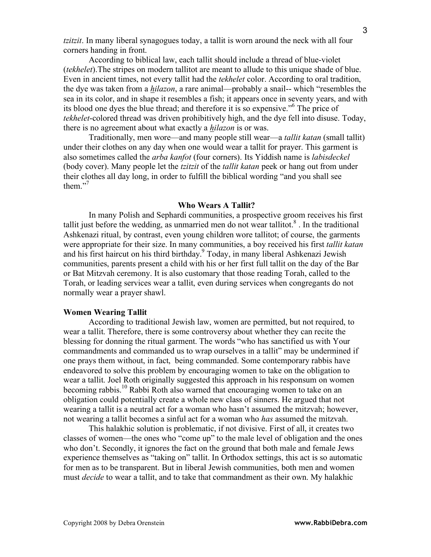*tzitzit*. In many liberal synagogues today, a tallit is worn around the neck with all four corners handing in front.

According to biblical law, each tallit should include a thread of blue-violet (*tekhelet*).The stripes on modern tallitot are meant to allude to this unique shade of blue. Even in ancient times, not every tallit had the *tekhelet* color. According to oral tradition, the dye was taken from a *hilazon*, a rare animal—probably a snail-- which "resembles the sea in its color, and in shape it resembles a fish; it appears once in seventy years, and with its blood one dyes the blue thread; and therefore it is so expensive." <sup>6</sup> The price of *tekhelet*-colored thread was driven prohibitively high, and the dye fell into disuse. Today, there is no agreement about what exactly a *hilazon* is or was.

Traditionally, men wore—and many people still wear—a *tallit katan* (small tallit) under their clothes on any day when one would wear a tallit for prayer. This garment is also sometimes called the *arba kanfot* (four corners). Its Yiddish name is *labisdeckel* (body cover). Many people let the *tzitzit* of the *tallit katan* peek or hang out from under their clothes all day long, in order to fulfill the biblical wording "and you shall see them."<sup>7</sup>

# **Who Wears A Tallit?**

In many Polish and Sephardi communities, a prospective groom receives his first tallit just before the wedding, as unmarried men do not wear tallitot. $\delta$ . In the traditional Ashkenazi ritual, by contrast, even young children wore tallitot; of course, the garments were appropriate for their size. In many communities, a boy received his first *tallit katan* and his first haircut on his third birthday. <sup>9</sup> Today, in many liberal Ashkenazi Jewish communities, parents present a child with his or her first full tallit on the day of the Bar or Bat Mitzvah ceremony. It is also customary that those reading Torah, called to the Torah, or leading services wear a tallit, even during services when congregants do not normally wear a prayer shawl.

#### **Women Wearing Tallit**

According to traditional Jewish law, women are permitted, but not required, to wear a tallit. Therefore, there is some controversy about whether they can recite the blessing for donning the ritual garment. The words "who has sanctified us with Your commandments and commanded us to wrap ourselves in a tallit" may be undermined if one prays them without, in fact, being commanded. Some contemporary rabbis have endeavored to solve this problem by encouraging women to take on the obligation to wear a tallit. Joel Roth originally suggested this approach in his responsum on women becoming rabbis.<sup>10</sup> Rabbi Roth also warned that encouraging women to take on an obligation could potentially create a whole new class of sinners. He argued that not wearing a tallit is a neutral act for a woman who hasn't assumed the mitzvah; however, not wearing a tallit becomes a sinful act for a woman who *has* assumed the mitzvah.

This halakhic solution is problematic, if not divisive. First of all, it creates two classes of women—the ones who "come up" to the male level of obligation and the ones who don't. Secondly, it ignores the fact on the ground that both male and female Jews experience themselves as "taking on" tallit. In Orthodox settings, this act is so automatic for men as to be transparent. But in liberal Jewish communities, both men and women must *decide* to wear a tallit, and to take that commandment as their own. My halakhic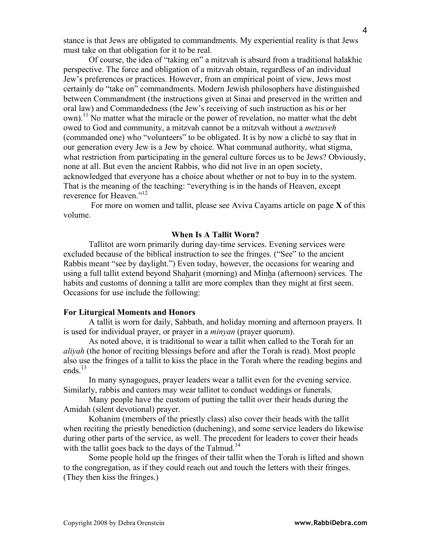stance is that Jews are obligated to commandments. My experiential reality is that Jews must take on that obligation for it to be real.

Of course, the idea of "taking on" a mitzvah is absurd from a traditional halakhic perspective. The force and obligation of a mitzvah obtain, regardless of an individual Jew's preferences or practices. However, from an empirical point of view, Jews most certainly do "take on" commandments. Modern Jewish philosophers have distinguished between Commandment (the instructions given at Sinai and preserved in the written and oral law) and Commandedness (the Jew's receiving of such instruction as his or her own).<sup>11</sup> No matter what the miracle or the power of revelation, no matter what the debt owed to God and community, a mitzvah cannot be a mitzvah without a *metzuveh* (commanded one) who "volunteers" to be obligated. It is by now a cliché to say that in our generation every Jew is a Jew by choice. What communal authority, what stigma, what restriction from participating in the general culture forces us to be Jews? Obviously, none at all. But even the ancient Rabbis, who did not live in an open society, acknowledged that everyone has a choice about whether or not to buy in to the system. That is the meaning of the teaching: "everything is in the hands of Heaven, except reverence for Heaven."<sup>12</sup>

For more on women and tallit, please see Aviva Cayams article on page **X** of this volume.

# **When Is A Tallit Worn?**

Tallitot are worn primarily during day-time services. Evening services were excluded because of the biblical instruction to see the fringes. ("See" to the ancient Rabbis meant "see by daylight.") Even today, however, the occasions for wearing and using a full tallit extend beyond Shaharit (morning) and Minha (afternoon) services. The habits and customs of donning a tallit are more complex than they might at first seem. Occasions for use include the following:

#### **For Liturgical Moments and Honors**

A tallit is worn for daily, Sabbath, and holiday morning and afternoon prayers. It is used for individual prayer, or prayer in a *minyan* (prayer quorum).

As noted above, it is traditional to wear a tallit when called to the Torah for an *aliyah* (the honor of reciting blessings before and after the Torah is read). Most people also use the fringes of a tallit to kiss the place in the Torah where the reading begins and ends. 13

In many synagogues, prayer leaders wear a tallit even for the evening service. Similarly, rabbis and cantors may wear tallitot to conduct weddings or funerals.

Many people have the custom of putting the tallit over their heads during the Amidah (silent devotional) prayer.

Kohanim (members of the priestly class) also cover their heads with the tallit when reciting the priestly benediction (duchening), and some service leaders do likewise during other parts of the service, as well. The precedent for leaders to cover their heads with the tallit goes back to the days of the Talmud.<sup>14</sup>

Some people hold up the fringes of their tallit when the Torah is lifted and shown to the congregation, as if they could reach out and touch the letters with their fringes. (They then kiss the fringes.)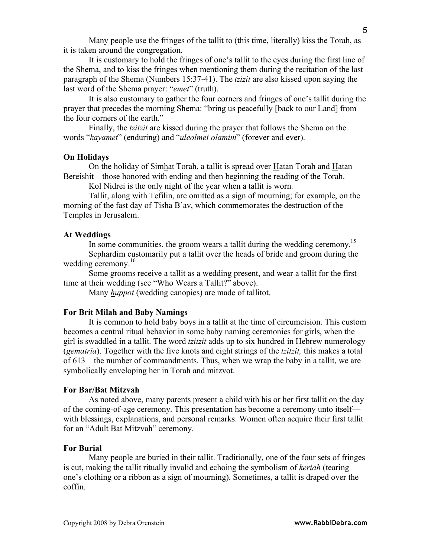Many people use the fringes of the tallit to (this time, literally) kiss the Torah, as it is taken around the congregation.

It is customary to hold the fringes of one's tallit to the eyes during the first line of the Shema, and to kiss the fringes when mentioning them during the recitation of the last paragraph of the Shema (Numbers 15:37-41). The *tzizit* are also kissed upon saying the last word of the Shema prayer: "*emet*" (truth).

It is also customary to gather the four corners and fringes of one's tallit during the prayer that precedes the morning Shema: "bring us peacefully [back to our Land] from the four corners of the earth."

Finally, the *tzitzit* are kissed during the prayer that follows the Shema on the words "*kayamet*" (enduring) and "*uleolmei olamim*" (forever and ever).

# **On Holidays**

On the holiday of Simhat Torah, a tallit is spread over Hatan Torah and Hatan Bereishit—those honored with ending and then beginning the reading of the Torah.

Kol Nidrei is the only night of the year when a tallit is worn.

Tallit, along with Tefilin, are omitted as a sign of mourning; for example, on the morning of the fast day of Tisha B'av, which commemorates the destruction of the Temples in Jerusalem.

## **At Weddings**

In some communities, the groom wears a tallit during the wedding ceremony.<sup>15</sup> Sephardim customarily put a tallit over the heads of bride and groom during the

wedding ceremony.<sup>16</sup>

Some grooms receive a tallit as a wedding present, and wear a tallit for the first time at their wedding (see "Who Wears a Tallit?" above).

Many *huppot* (wedding canopies) are made of tallitot.

#### **For Brit Milah and Baby Namings**

It is common to hold baby boys in a tallit at the time of circumcision. This custom becomes a central ritual behavior in some baby naming ceremonies for girls, when the girl is swaddled in a tallit. The word *tzitzit* adds up to six hundred in Hebrew numerology (*gematria*). Together with the five knots and eight strings of the *tzitzit,* this makes a total of 613—the number of commandments. Thus, when we wrap the baby in a tallit, we are symbolically enveloping her in Torah and mitzvot.

#### **For Bar/Bat Mitzvah**

As noted above, many parents present a child with his or her first tallit on the day of the coming-of-age ceremony. This presentation has become a ceremony unto itself with blessings, explanations, and personal remarks. Women often acquire their first tallit for an "Adult Bat Mitzvah" ceremony.

# **For Burial**

Many people are buried in their tallit. Traditionally, one of the four sets of fringes is cut, making the tallit ritually invalid and echoing the symbolism of *keriah* (tearing one's clothing or a ribbon as a sign of mourning). Sometimes, a tallit is draped over the coffin.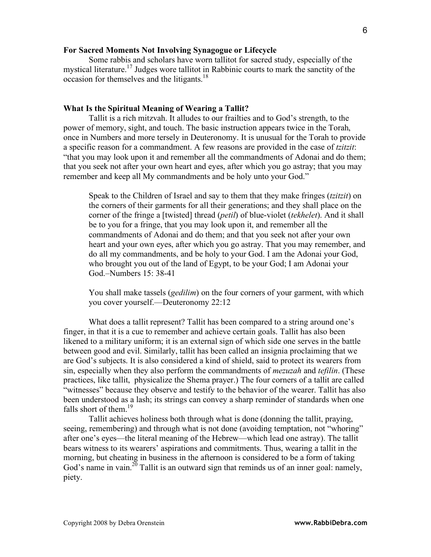# **For Sacred Moments Not Involving Synagogue or Lifecycle**

Some rabbis and scholars have worn tallitot for sacred study, especially of the mystical literature.<sup>17</sup> Judges wore tallitot in Rabbinic courts to mark the sanctity of the occasion for themselves and the litigants.<sup>18</sup>

# **What Is the Spiritual Meaning of Wearing a Tallit?**

Tallit is a rich mitzvah. It alludes to our frailties and to God's strength, to the power of memory, sight, and touch. The basic instruction appears twice in the Torah, once in Numbers and more tersely in Deuteronomy. It is unusual for the Torah to provide a specific reason for a commandment. A few reasons are provided in the case of *tzitzit*: "that you may look upon it and remember all the commandments of Adonai and do them; that you seek not after your own heart and eyes, after which you go astray; that you may remember and keep all My commandments and be holy unto your God."

Speak to the Children of Israel and say to them that they make fringes (*tzitzit*) on the corners of their garments for all their generations; and they shall place on the corner of the fringe a [twisted] thread (*petil*) of blue-violet (*tekhelet*). And it shall be to you for a fringe, that you may look upon it, and remember all the commandments of Adonai and do them; and that you seek not after your own heart and your own eyes, after which you go astray. That you may remember, and do all my commandments, and be holy to your God. I am the Adonai your God, who brought you out of the land of Egypt, to be your God; I am Adonai your God.–Numbers 15: 38-41

You shall make tassels (*gedilim*) on the four corners of your garment, with which you cover yourself.—Deuteronomy 22:12

What does a tallit represent? Tallit has been compared to a string around one's finger, in that it is a cue to remember and achieve certain goals. Tallit has also been likened to a military uniform; it is an external sign of which side one serves in the battle between good and evil. Similarly, tallit has been called an insignia proclaiming that we are God's subjects. It is also considered a kind of shield, said to protect its wearers from sin, especially when they also perform the commandments of *mezuzah* and *tefilin*. (These practices, like tallit, physicalize the Shema prayer.) The four corners of a tallit are called "witnesses" because they observe and testify to the behavior of the wearer. Tallit has also been understood as a lash; its strings can convey a sharp reminder of standards when one falls short of them.<sup>19</sup>

Tallit achieves holiness both through what is done (donning the tallit, praying, seeing, remembering) and through what is not done (avoiding temptation, not "whoring" after one's eyes—the literal meaning of the Hebrew—which lead one astray). The tallit bears witness to its wearers' aspirations and commitments. Thus, wearing a tallit in the morning, but cheating in business in the afternoon is considered to be a form of taking God's name in vain.<sup>20</sup> Tallit is an outward sign that reminds us of an inner goal: namely, piety.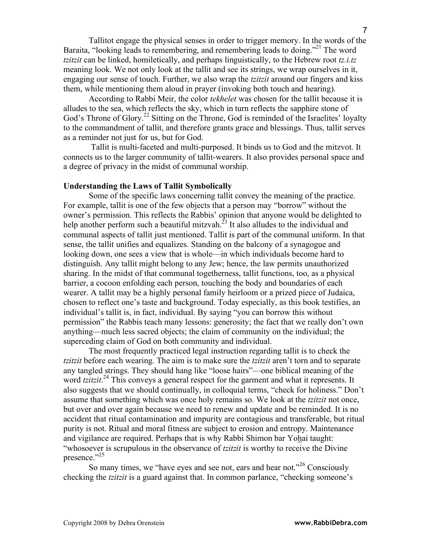Tallitot engage the physical senses in order to trigger memory. In the words of the Baraita, "looking leads to remembering, and remembering leads to doing."<sup>21</sup> The word *tzitzit* can be linked, homiletically, and perhaps linguistically, to the Hebrew root *tz.i.tz* meaning look. We not only look at the tallit and see its strings, we wrap ourselves in it, engaging our sense of touch. Further, we also wrap the *tzitzit* around our fingers and kiss them, while mentioning them aloud in prayer (invoking both touch and hearing).

According to Rabbi Meir, the color *tekhelet* was chosen for the tallit because it is alludes to the sea, which reflects the sky, which in turn reflects the sapphire stone of God's Throne of Glory.<sup>22</sup> Sitting on the Throne, God is reminded of the Israelites' loyalty to the commandment of tallit, and therefore grants grace and blessings. Thus, tallit serves as a reminder not just for us, but for God.

Tallit is multi-faceted and multi-purposed. It binds us to God and the mitzvot. It connects us to the larger community of tallit-wearers. It also provides personal space and a degree of privacy in the midst of communal worship.

### **Understanding the Laws of Tallit Symbolically**

Some of the specific laws concerning tallit convey the meaning of the practice. For example, tallit is one of the few objects that a person may "borrow" without the owner's permission. This reflects the Rabbis' opinion that anyone would be delighted to help another perform such a beautiful mitzvah.<sup>23</sup> It also alludes to the individual and communal aspects of tallit just mentioned. Tallit is part of the communal uniform. In that sense, the tallit unifies and equalizes. Standing on the balcony of a synagogue and looking down, one sees a view that is whole—in which individuals become hard to distinguish. Any tallit might belong to any Jew; hence, the law permits unauthorized sharing. In the midst of that communal togetherness, tallit functions, too, as a physical barrier, a cocoon enfolding each person, touching the body and boundaries of each wearer. A tallit may be a highly personal family heirloom or a prized piece of Judaica, chosen to reflect one's taste and background. Today especially, as this book testifies, an individual's tallit is, in fact, individual. By saying "you can borrow this without permission" the Rabbis teach many lessons: generosity; the fact that we really don't own anything—much less sacred objects; the claim of community on the individual; the superceding claim of God on both community and individual.

The most frequently practiced legal instruction regarding tallit is to check the *tzitzit* before each wearing. The aim is to make sure the *tzitzit* aren't torn and to separate any tangled strings. They should hang like "loose hairs"—one biblical meaning of the word *tzitzit*. <sup>24</sup> This conveys a general respect for the garment and what it represents. It also suggests that we should continually, in colloquial terms, "check for holiness." Don't assume that something which was once holy remains so. We look at the *tzitzit* not once, but over and over again because we need to renew and update and be reminded. It is no accident that ritual contamination and impurity are contagious and transferable, but ritual purity is not. Ritual and moral fitness are subject to erosion and entropy. Maintenance and vigilance are required. Perhaps that is why Rabbi Shimon bar Yohai taught: "whosoever is scrupulous in the observance of *tzitzit* is worthy to receive the Divine presence."<sup>25</sup>

So many times, we "have eyes and see not, ears and hear not."<sup>26</sup> Consciously checking the *tzitzit* is a guard against that. In common parlance, "checking someone's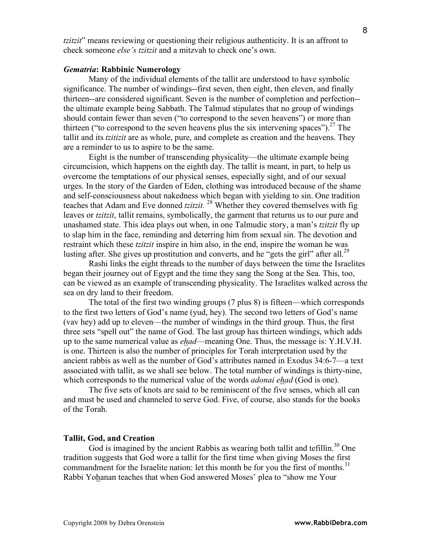*tzitzit*" means reviewing or questioning their religious authenticity. It is an affront to check someone *else's tzitzit* and a mitzvah to check one's own.

# *Gematria***: Rabbinic Numerology**

Many of the individual elements of the tallit are understood to have symbolic significance. The number of windings--first seven, then eight, then eleven, and finally thirteen--are considered significant. Seven is the number of completion and perfection- the ultimate example being Sabbath. The Talmud stipulates that no group of windings should contain fewer than seven ("to correspond to the seven heavens") or more than thirteen ("to correspond to the seven heavens plus the six intervening spaces").<sup>27</sup> The tallit and its *tzitizit* are as whole, pure, and complete as creation and the heavens. They are a reminder to us to aspire to be the same.

Eight is the number of transcending physicality—the ultimate example being circumcision, which happens on the eighth day. The tallit is meant, in part, to help us overcome the temptations of our physical senses, especially sight, and of our sexual urges. In the story of the Garden of Eden, clothing was introduced because of the shame and self-consciousness about nakedness which began with yielding to sin. One tradition teaches that Adam and Eve donned *tzitzit*.<sup>28</sup> Whether they covered themselves with fig leaves or *tzitzit*, tallit remains, symbolically, the garment that returns us to our pure and unashamed state. This idea plays out when, in one Talmudic story, a man's *tzitzit* fly up to slap him in the face, reminding and deterring him from sexual sin. The devotion and restraint which these *tzitzit* inspire in him also, in the end, inspire the woman he was lusting after. She gives up prostitution and converts, and he "gets the girl" after all.<sup>29</sup>

Rashi links the eight threads to the number of days between the time the Israelites began their journey out of Egypt and the time they sang the Song at the Sea. This, too, can be viewed as an example of transcending physicality. The Israelites walked across the sea on dry land to their freedom.

The total of the first two winding groups (7 plus 8) is fifteen—which corresponds to the first two letters of God's name (yud, hey). The second two letters of God's name (vav hey) add up to eleven—the number of windings in the third group. Thus, the first three sets "spell out" the name of God. The last group has thirteen windings, which adds up to the same numerical value as *ehad*—meaning One. Thus, the message is: Y.H.V.H. is one. Thirteen is also the number of principles for Torah interpretation used by the ancient rabbis as well as the number of God's attributes named in Exodus 34:6-7—a text associated with tallit, as we shall see below. The total number of windings is thirty-nine, which corresponds to the numerical value of the words *adonai ehad* (God is one).

The five sets of knots are said to be reminiscent of the five senses, which all can and must be used and channeled to serve God. Five, of course, also stands for the books of the Torah.

# **Tallit, God, and Creation**

God is imagined by the ancient Rabbis as wearing both tallit and tefillin.<sup>30</sup> One tradition suggests that God wore a tallit for the first time when giving Moses the first commandment for the Israelite nation: let this month be for you the first of months.<sup>31</sup> Rabbi Yohanan teaches that when God answered Moses' plea to "show me Your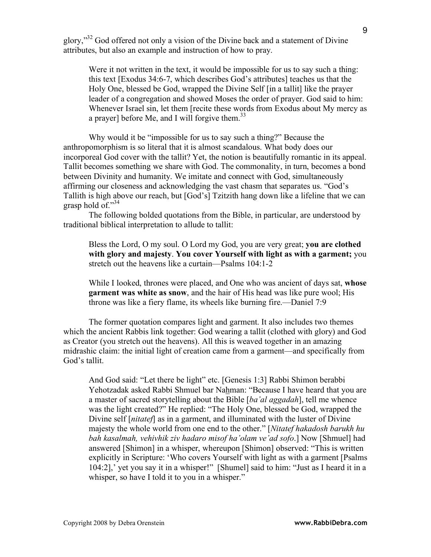glory,"<sup>32</sup> God offered not only a vision of the Divine back and a statement of Divine attributes, but also an example and instruction of how to pray.

Were it not written in the text, it would be impossible for us to say such a thing: this text [Exodus 34:6-7, which describes God's attributes] teaches us that the Holy One, blessed be God, wrapped the Divine Self [in a tallit] like the prayer leader of a congregation and showed Moses the order of prayer. God said to him: Whenever Israel sin, let them [recite these words from Exodus about My mercy as a prayer] before Me, and I will forgive them.<sup>33</sup>

Why would it be "impossible for us to say such a thing?" Because the anthropomorphism is so literal that it is almost scandalous. What body does our incorporeal God cover with the tallit? Yet, the notion is beautifully romantic in its appeal. Tallit becomes something we share with God. The commonality, in turn, becomes a bond between Divinity and humanity. We imitate and connect with God, simultaneously affirming our closeness and acknowledging the vast chasm that separates us. "God's Tallith is high above our reach, but [God's] Tzitzith hang down like a lifeline that we can grasp hold of."34

The following bolded quotations from the Bible, in particular, are understood by traditional biblical interpretation to allude to tallit:

Bless the Lord, O my soul. O Lord my God, you are very great; **you are clothed with glory and majesty**. **You cover Yourself with light as with a garment;** you stretch out the heavens like a curtain—Psalms 104:1-2

While I looked, thrones were placed, and One who was ancient of days sat, **whose garment was white as snow**, and the hair of His head was like pure wool; His throne was like a fiery flame, its wheels like burning fire.—Daniel 7:9

The former quotation compares light and garment. It also includes two themes which the ancient Rabbis link together: God wearing a tallit (clothed with glory) and God as Creator (you stretch out the heavens). All this is weaved together in an amazing midrashic claim: the initial light of creation came from a garment—and specifically from God's tallit.

And God said: "Let there be light" etc. [Genesis 1:3] Rabbi Shimon berabbi Yehotzadak asked Rabbi Shmuel bar Nahman: "Because I have heard that you are a master of sacred storytelling about the Bible [*ba'al aggadah*], tell me whence was the light created?" He replied: "The Holy One, blessed be God, wrapped the Divine self [*nitatef*] as in a garment, and illuminated with the luster of Divine majesty the whole world from one end to the other." [*Nitatef hakadosh barukh hu bah kasalmah, vehivhik ziv hadaro misof ha'olam ve'ad sofo*.] Now [Shmuel] had answered [Shimon] in a whisper, whereupon [Shimon] observed: "This is written explicitly in Scripture: 'Who covers Yourself with light as with a garment [Psalms 104:2],' yet you say it in a whisper!" [Shumel] said to him: "Just as I heard it in a whisper, so have I told it to you in a whisper."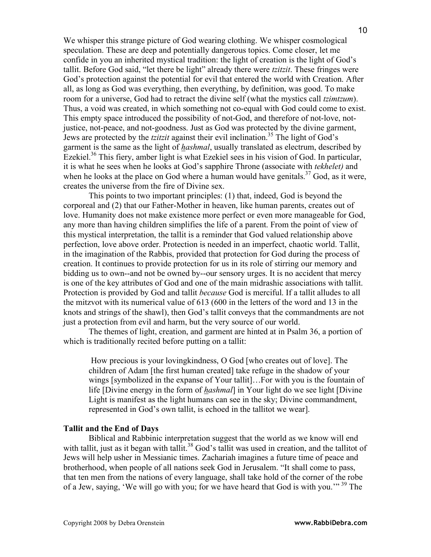We whisper this strange picture of God wearing clothing. We whisper cosmological speculation. These are deep and potentially dangerous topics. Come closer, let me confide in you an inherited mystical tradition: the light of creation is the light of God's tallit. Before God said, "let there be light" already there were *tzitzit*. These fringes were God's protection against the potential for evil that entered the world with Creation. After all, as long as God was everything, then everything, by definition, was good. To make room for a universe, God had to retract the divine self (what the mystics call *tzimtzum*). Thus, a void was created, in which something not co-equal with God could come to exist. This empty space introduced the possibility of not-God, and therefore of not-love, notjustice, not-peace, and not-goodness. Just as God was protected by the divine garment, Jews are protected by the *tzitzit* against their evil inclination. <sup>35</sup> The light of God's garment is the same as the light of *hashmal*, usually translated as electrum, described by Ezekiel. <sup>36</sup> This fiery, amber light is what Ezekiel sees in his vision of God. In particular, it is what he sees when he looks at God's sapphire Throne (associate with *tekhelet)* and when he looks at the place on God where a human would have genitals.<sup>37</sup> God, as it were, creates the universe from the fire of Divine sex.

This points to two important principles: (1) that, indeed, God is beyond the corporeal and (2) that our Father-Mother in heaven, like human parents, creates out of love. Humanity does not make existence more perfect or even more manageable for God, any more than having children simplifies the life of a parent. From the point of view of this mystical interpretation, the tallit is a reminder that God valued relationship above perfection, love above order. Protection is needed in an imperfect, chaotic world. Tallit, in the imagination of the Rabbis, provided that protection for God during the process of creation. It continues to provide protection for us in its role of stirring our memory and bidding us to own--and not be owned by--our sensory urges. It is no accident that mercy is one of the key attributes of God and one of the main midrashic associations with tallit. Protection is provided by God and tallit *because* God is merciful. If a tallit alludes to all the mitzvot with its numerical value of 613 (600 in the letters of the word and 13 in the knots and strings of the shawl), then God's tallit conveys that the commandments are not just a protection from evil and harm, but the very source of our world.

The themes of light, creation, and garment are hinted at in Psalm 36, a portion of which is traditionally recited before putting on a tallit:

How precious is your lovingkindness, O God [who creates out of love]. The children of Adam [the first human created] take refuge in the shadow of your wings [symbolized in the expanse of Your tallit]…For with you is the fountain of life [Divine energy in the form of *hashmal*] in Your light do we see light [Divine Light is manifest as the light humans can see in the sky; Divine commandment, represented in God's own tallit, is echoed in the tallitot we wear].

### **Tallit and the End of Days**

Biblical and Rabbinic interpretation suggest that the world as we know will end with tallit, just as it began with tallit.<sup>38</sup> God's tallit was used in creation, and the tallitot of Jews will help usher in Messianic times. Zachariah imagines a future time of peace and brotherhood, when people of all nations seek God in Jerusalem. "It shall come to pass, that ten men from the nations of every language, shall take hold of the corner of the robe of a Jew, saying, 'We will go with you; for we have heard that God is with you.'"<sup>39</sup> The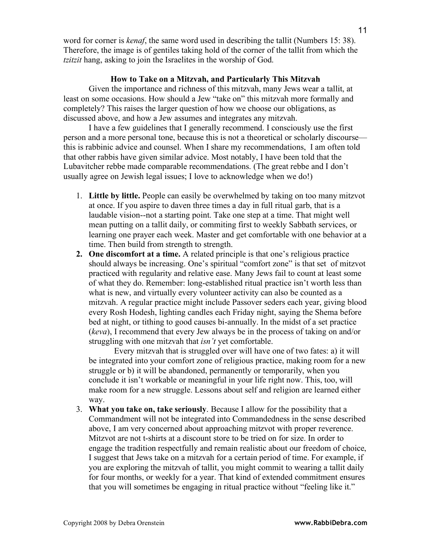word for corner is *kenaf*, the same word used in describing the tallit (Numbers 15: 38). Therefore, the image is of gentiles taking hold of the corner of the tallit from which the *tzitzit* hang, asking to join the Israelites in the worship of God.

# **How to Take on a Mitzvah, and Particularly This Mitzvah**

Given the importance and richness of this mitzvah, many Jews wear a tallit, at least on some occasions. How should a Jew "take on" this mitzvah more formally and completely? This raises the larger question of how we choose our obligations, as discussed above, and how a Jew assumes and integrates any mitzvah.

I have a few guidelines that I generally recommend. I consciously use the first person and a more personal tone, because this is not a theoretical or scholarly discourse this is rabbinic advice and counsel. When I share my recommendations, I am often told that other rabbis have given similar advice. Most notably, I have been told that the Lubavitcher rebbe made comparable recommendations. (The great rebbe and I don't usually agree on Jewish legal issues; I love to acknowledge when we do!)

- 1. **Little by little.** People can easily be overwhelmed by taking on too many mitzvot at once. If you aspire to daven three times a day in full ritual garb, that is a laudable vision--not a starting point. Take one step at a time. That might well mean putting on a tallit daily, or commiting first to weekly Sabbath services, or learning one prayer each week. Master and get comfortable with one behavior at a time. Then build from strength to strength.
- **2. One discomfort at a time.** A related principle is that one's religious practice should always be increasing. One's spiritual "comfort zone" is that set of mitzvot practiced with regularity and relative ease. Many Jews fail to count at least some of what they do. Remember: long-established ritual practice isn't worth less than what is new, and virtually every volunteer activity can also be counted as a mitzvah. A regular practice might include Passover seders each year, giving blood every Rosh Hodesh, lighting candles each Friday night, saying the Shema before bed at night, or tithing to good causes bi-annually. In the midst of a set practice (*keva*), I recommend that every Jew always be in the process of taking on and/or struggling with one mitzvah that *isn't* yet comfortable.

Every mitzvah that is struggled over will have one of two fates: a) it will be integrated into your comfort zone of religious practice, making room for a new struggle or b) it will be abandoned, permanently or temporarily, when you conclude it isn't workable or meaningful in your life right now. This, too, will make room for a new struggle. Lessons about self and religion are learned either way.

3. **What you take on, take seriously**. Because I allow for the possibility that a Commandment will not be integrated into Commandedness in the sense described above, I am very concerned about approaching mitzvot with proper reverence. Mitzvot are not t-shirts at a discount store to be tried on for size. In order to engage the tradition respectfully and remain realistic about our freedom of choice, I suggest that Jews take on a mitzvah for a certain period of time. For example, if you are exploring the mitzvah of tallit, you might commit to wearing a tallit daily for four months, or weekly for a year. That kind of extended commitment ensures that you will sometimes be engaging in ritual practice without "feeling like it."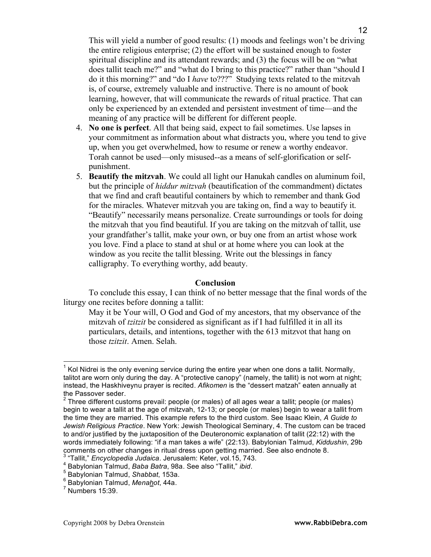This will yield a number of good results: (1) moods and feelings won't be driving the entire religious enterprise; (2) the effort will be sustained enough to foster spiritual discipline and its attendant rewards; and (3) the focus will be on "what does tallit teach me?" and "what do I bring to this practice?" rather than "should I do it this morning?" and "do I *have* to???" Studying texts related to the mitzvah is, of course, extremely valuable and instructive. There is no amount of book learning, however, that will communicate the rewards of ritual practice. That can only be experienced by an extended and persistent investment of time—and the meaning of any practice will be different for different people.

- 4. **No one is perfect**. All that being said, expect to fail sometimes. Use lapses in your commitment as information about what distracts you, where you tend to give up, when you get overwhelmed, how to resume or renew a worthy endeavor. Torah cannot be used—only misused--as a means of self-glorification or selfpunishment.
- 5. **Beautify the mitzvah**. We could all light our Hanukah candles on aluminum foil, but the principle of *hiddur mitzvah* (beautification of the commandment) dictates that we find and craft beautiful containers by which to remember and thank God for the miracles. Whatever mitzvah you are taking on, find a way to beautify it. "Beautify" necessarily means personalize. Create surroundings or tools for doing the mitzvah that you find beautiful. If you are taking on the mitzvah of tallit, use your grandfather's tallit, make your own, or buy one from an artist whose work you love. Find a place to stand at shul or at home where you can look at the window as you recite the tallit blessing. Write out the blessings in fancy calligraphy. To everything worthy, add beauty.

# **Conclusion**

To conclude this essay, I can think of no better message that the final words of the liturgy one recites before donning a tallit:

May it be Your will, O God and God of my ancestors, that my observance of the mitzvah of *tzitzit* be considered as significant as if I had fulfilled it in all its particulars, details, and intentions, together with the 613 mitzvot that hang on those *tzitzit*. Amen. Selah.

 $<sup>1</sup>$  Kol Nidrei is the only evening service during the entire year when one dons a tallit. Normally,</sup> talitot are worn only during the day. A "protective canopy" (namely, the tallit) is not worn at night; instead, the Haskhiveynu prayer is recited. *Afikomen* is the "dessert matzah" eaten annually at

the Passover seder.<br><sup>2</sup> Three different customs prevail: people (or males) of all ages wear a tallit; people (or males) begin to wear a tallit at the age of mitzvah, 12-13; or people (or males) begin to wear a tallit from the time they are married. This example refers to the third custom. See Isaac Klein, *A Guide to Jewish Religious Practice*. New York: Jewish Theological Seminary, 4. The custom can be traced to and/or justified by the juxtaposition of the Deuteronomic explanation of tallit (22:12) with the words immediately following: "if a man takes a wife" (22:13). Babylonian Talmud, *Kiddushin*, 29b

<sup>&</sup>lt;sup>3</sup> "Tallit," *Encyclopedia Judaica*. Jerusalem: Keter, vol.15, 743.<br>
<sup>4</sup> Babylonian Talmud, *Baba Batra*, 98a. See also "Tallit," *ibid.*<br>
<sup>5</sup> Babylonian Talmud, *Shabbat*, 153a.<br>
<sup>6</sup> Babylonian Talmud, *Menahot*, 44a.<br>